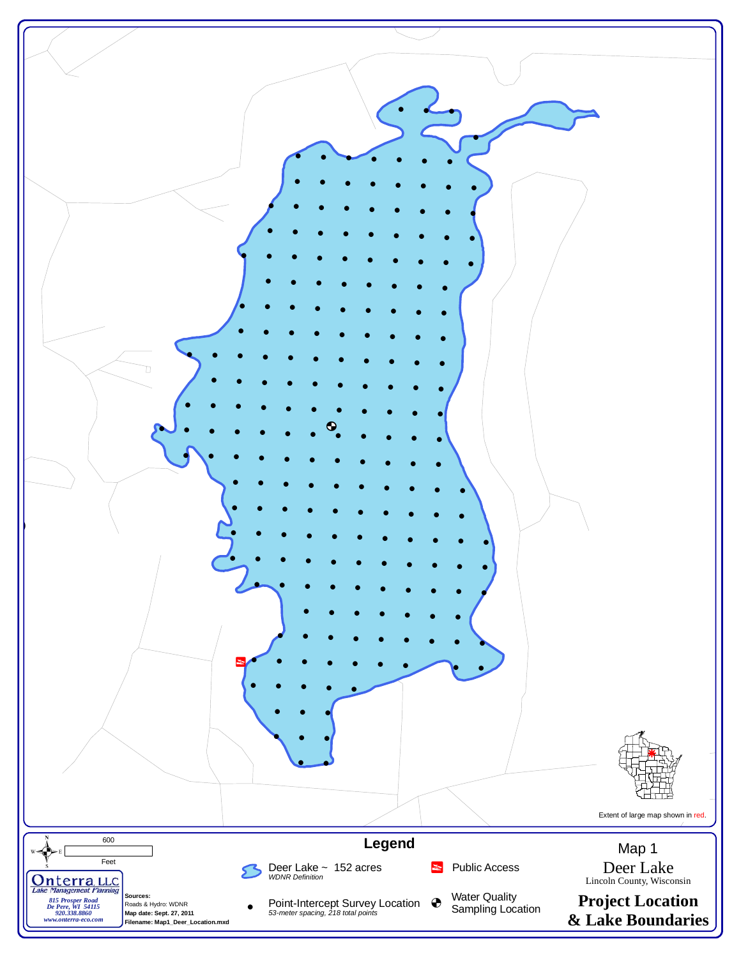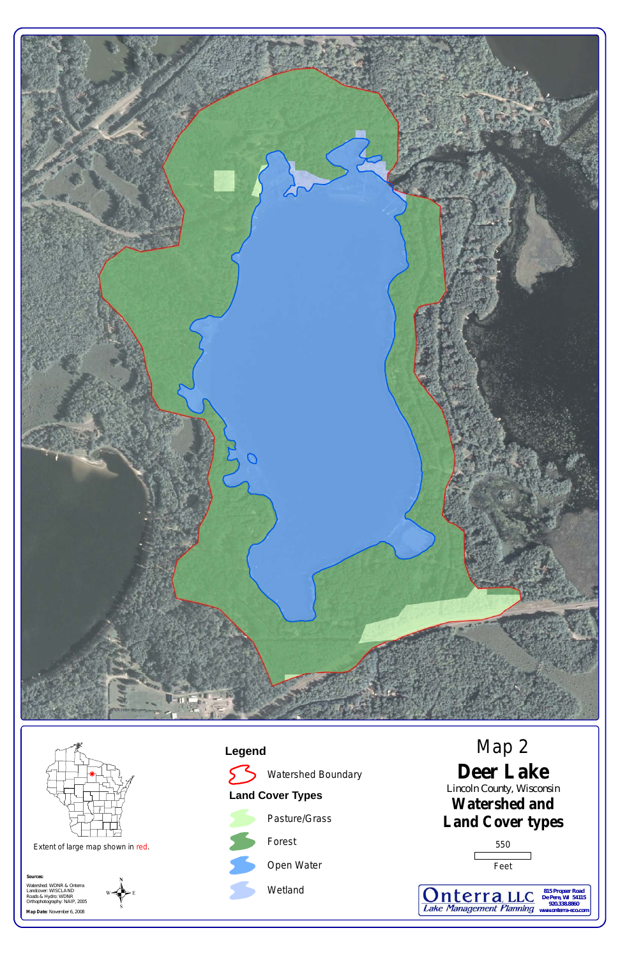**Map Date:** November 6, 2008



**Legend**





**Deer Lake Watershed and Land Cover types** Lincoln County, Wisconsin Map 2 550 Feet *De Pere, WI 54115 920.338.8860* **Lake Management Planning www.onterra-eco.com**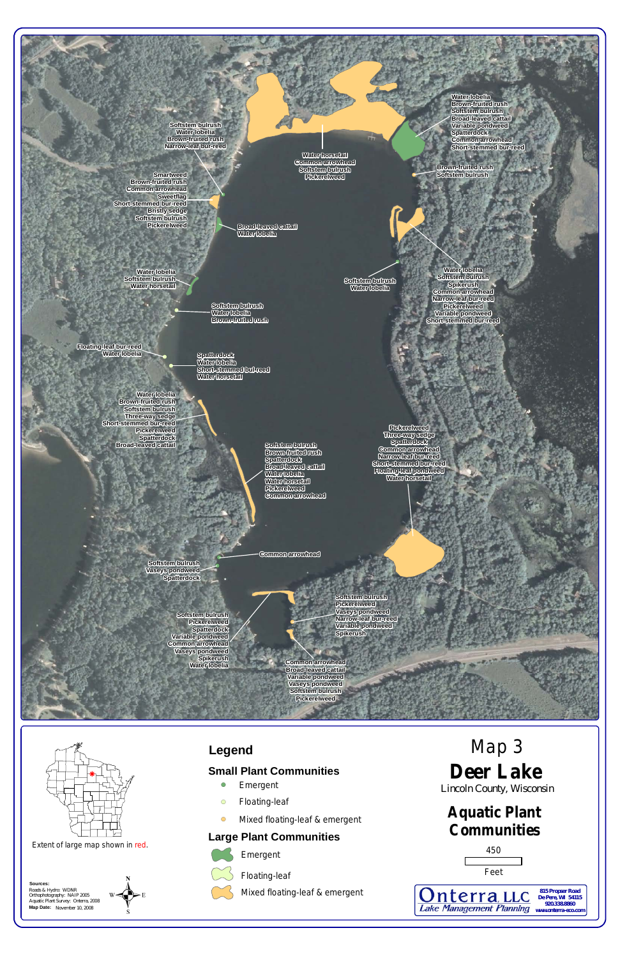

Roads & Hydro: WDNR Orthophotography: NAIP 2005 Aquatic Plant Survey: Onterra, 2008 **Map Date:** November 10, 2008

## **Aquatic Plant Communities**

# **Deer Lake** Map 3

Lincoln County, Wisconsin



**Lake Management Planning** www.onterra-eco.com

<u>Onterra LLC</u>

**Sources:**

### **Legend**

#### **Small Plant Communities**

- **•** Emergent
- **Eloating-leaf**
- **In Mixed floating-leaf & emergent**

#### **Large Plant Communities**





Mixed floating-leaf & emergent



Extent of large map shown in red.

 $W \left( \bigvee_{S}^{N} E \right)$ 

*815 Propser Road De Pere, WI 54115 920.338.8860*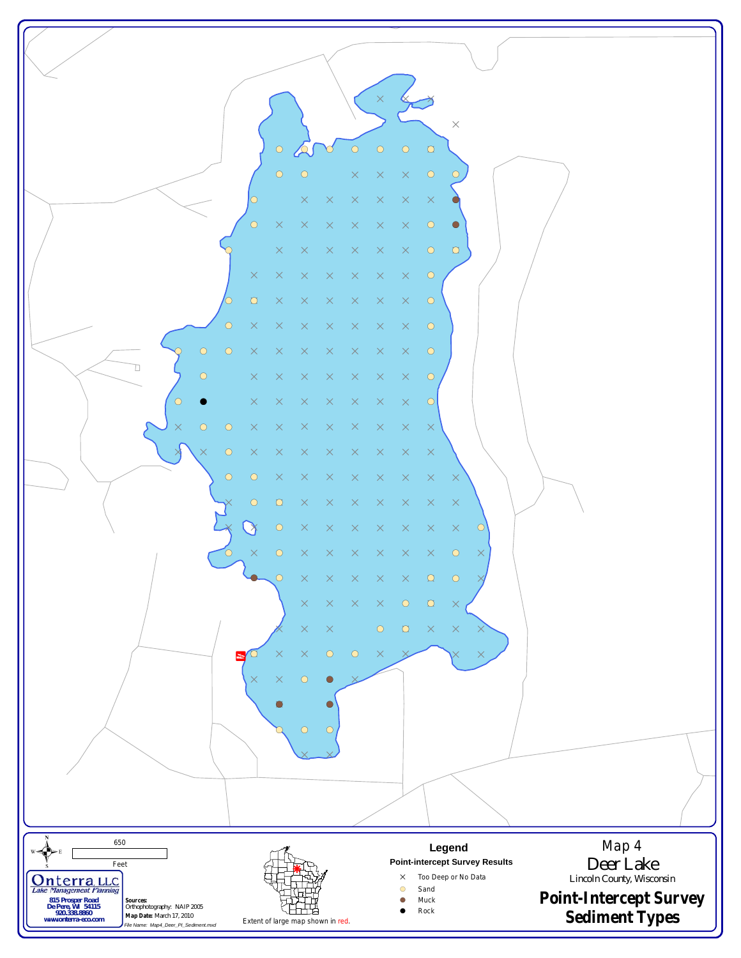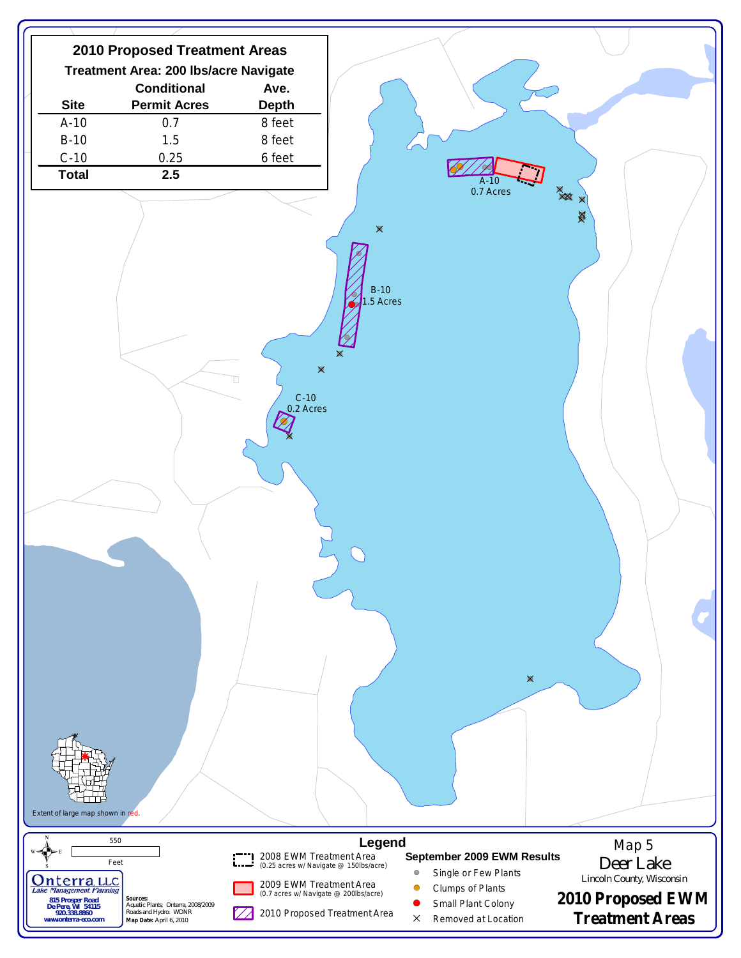